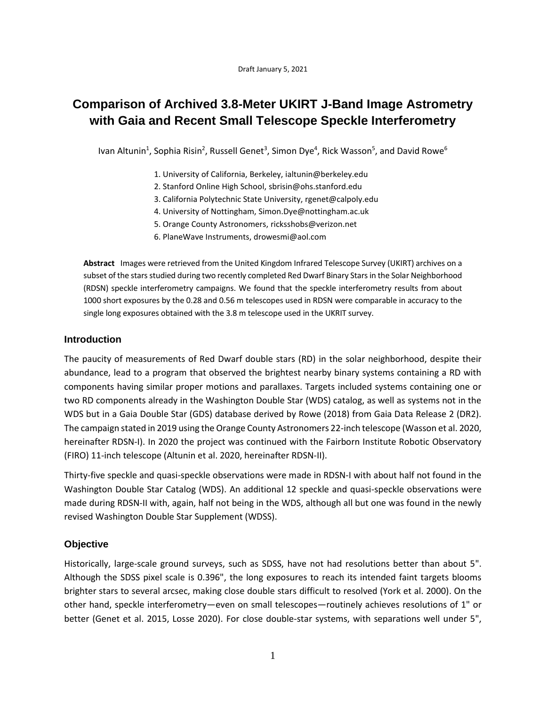Draft January 5, 2021

# **Comparison of Archived 3.8-Meter UKIRT J-Band Image Astrometry with Gaia and Recent Small Telescope Speckle Interferometry**

Ivan Altunin<sup>1</sup>, Sophia Risin<sup>2</sup>, Russell Genet<sup>3</sup>, Simon Dye<sup>4</sup>, Rick Wasson<sup>5</sup>, and David Rowe<sup>6</sup>

- 1. University of California, Berkeley, [ialtunin@berkeley.edu](mailto:ialtunin@berkeley.edu)
- 2. Stanford Online High School[, sbrisin@ohs.stanford.edu](mailto:sbrisin@ohs.stanford.edu)
- 3. California Polytechnic State University, [rgenet@calpoly.edu](mailto:rgenet@calpoly.edu)
- 4. University of Nottingham, [Simon.Dye@nottingham.ac.uk](mailto:Simon.Dye@nottingham.ac.uk)
- 5. Orange County Astronomers[, ricksshobs@verizon.net](mailto:ricksshobs@verizon.net)
- 6. PlaneWave Instruments, drowesmi@aol.com

**Abstract** Images were retrieved from the United Kingdom Infrared Telescope Survey (UKIRT) archives on a subset of the stars studied during two recently completed Red Dwarf Binary Stars in the Solar Neighborhood (RDSN) speckle interferometry campaigns. We found that the speckle interferometry results from about 1000 short exposures by the 0.28 and 0.56 m telescopes used in RDSN were comparable in accuracy to the single long exposures obtained with the 3.8 m telescope used in the UKRIT survey.

# **Introduction**

The paucity of measurements of Red Dwarf double stars (RD) in the solar neighborhood, despite their abundance, lead to a program that observed the brightest nearby binary systems containing a RD with components having similar proper motions and parallaxes. Targets included systems containing one or two RD components already in the Washington Double Star (WDS) catalog, as well as systems not in the WDS but in a Gaia Double Star (GDS) database derived by Rowe (2018) from Gaia Data Release 2 (DR2). The campaign stated in 2019 using the Orange County Astronomers 22-inch telescope (Wasson et al. 2020, hereinafter RDSN-I). In 2020 the project was continued with the Fairborn Institute Robotic Observatory (FIRO) 11-inch telescope (Altunin et al. 2020, hereinafter RDSN-II).

Thirty-five speckle and quasi-speckle observations were made in RDSN-I with about half not found in the Washington Double Star Catalog (WDS). An additional 12 speckle and quasi-speckle observations were made during RDSN-II with, again, half not being in the WDS, although all but one was found in the newly revised Washington Double Star Supplement (WDSS).

# **Objective**

Historically, large-scale ground surveys, such as SDSS, have not had resolutions better than about 5". Although the SDSS pixel scale is 0.396", the long exposures to reach its intended faint targets blooms brighter stars to several arcsec, making close double stars difficult to resolved (York et al. 2000). On the other hand, speckle interferometry—even on small telescopes—routinely achieves resolutions of 1" or better (Genet et al. 2015, Losse 2020). For close double-star systems, with separations well under 5",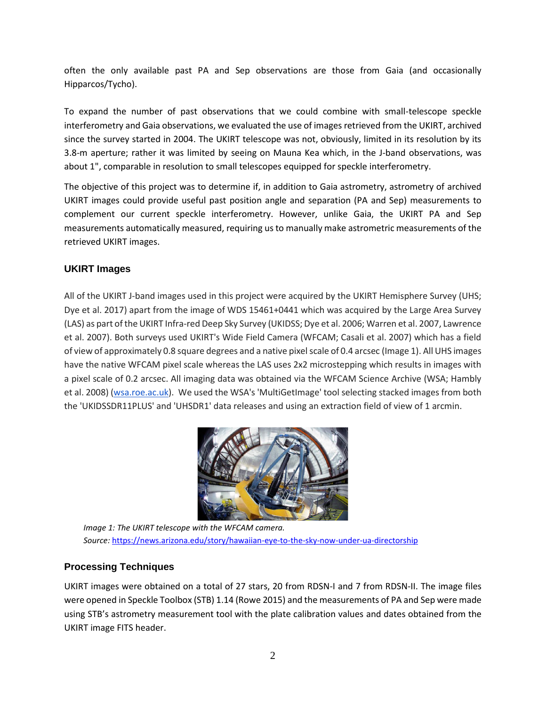often the only available past PA and Sep observations are those from Gaia (and occasionally Hipparcos/Tycho).

To expand the number of past observations that we could combine with small-telescope speckle interferometry and Gaia observations, we evaluated the use of images retrieved from the UKIRT, archived since the survey started in 2004. The UKIRT telescope was not, obviously, limited in its resolution by its 3.8-m aperture; rather it was limited by seeing on Mauna Kea which, in the J-band observations, was about 1", comparable in resolution to small telescopes equipped for speckle interferometry.

The objective of this project was to determine if, in addition to Gaia astrometry, astrometry of archived UKIRT images could provide useful past position angle and separation (PA and Sep) measurements to complement our current speckle interferometry. However, unlike Gaia, the UKIRT PA and Sep measurements automatically measured, requiring us to manually make astrometric measurements of the retrieved UKIRT images.

# **UKIRT Images**

All of the UKIRT J-band images used in this project were acquired by the UKIRT Hemisphere Survey (UHS; Dye et al. 2017) apart from the image of WDS 15461+0441 which was acquired by the Large Area Survey (LAS) as part of the UKIRT Infra-red Deep Sky Survey (UKIDSS; Dye et al. 2006; Warren et al. 2007, Lawrence et al. 2007). Both surveys used UKIRT's Wide Field Camera (WFCAM; Casali et al. 2007) which has a field of view of approximately 0.8 square degrees and a native pixel scale of 0.4 arcsec (Image 1). All UHS images have the native WFCAM pixel scale whereas the LAS uses 2x2 microstepping which results in images with a pixel scale of 0.2 arcsec. All imaging data was obtained via the WFCAM Science Archive (WSA; Hambly et al. 2008) [\(wsa.roe.ac.uk\)](http://wsa.roe.ac.uk/). We used the WSA's 'MultiGetImage' tool selecting stacked images from both the 'UKIDSSDR11PLUS' and 'UHSDR1' data releases and using an extraction field of view of 1 arcmin.



*Image 1: The UKIRT telescope with the WFCAM camera. Source:* <https://news.arizona.edu/story/hawaiian-eye-to-the-sky-now-under-ua-directorship>

# **Processing Techniques**

UKIRT images were obtained on a total of 27 stars, 20 from RDSN-I and 7 from RDSN-II. The image files were opened in Speckle Toolbox (STB) 1.14 (Rowe 2015) and the measurements of PA and Sep were made using STB's astrometry measurement tool with the plate calibration values and dates obtained from the UKIRT image FITS header.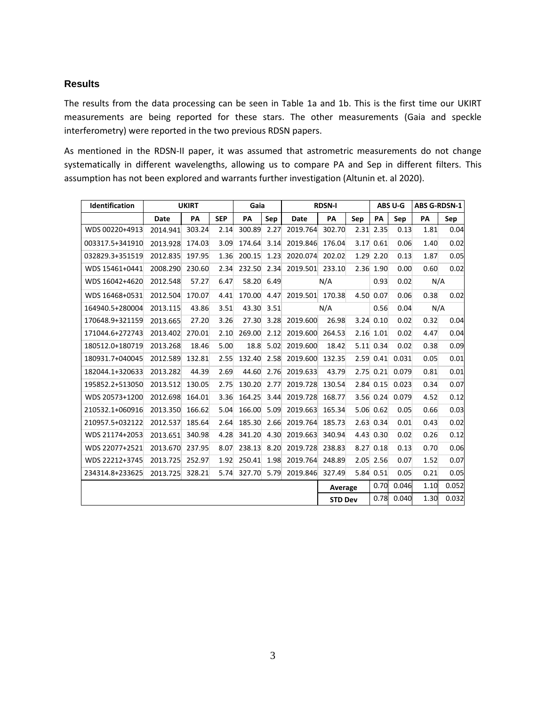#### **Results**

The results from the data processing can be seen in Table 1a and 1b. This is the first time our UKIRT measurements are being reported for these stars. The other measurements (Gaia and speckle interferometry) were reported in the two previous RDSN papers.

As mentioned in the RDSN-II paper, it was assumed that astrometric measurements do not change systematically in different wavelengths, allowing us to compare PA and Sep in different filters. This assumption has not been explored and warrants further investigation (Altunin et. al 2020).

| Identification  | <b>UKIRT</b> |        |            | Gaia             |      |                 | <b>RDSN-I</b>  | ABS U-G |               | <b>ABS G-RDSN-1</b> |       |       |
|-----------------|--------------|--------|------------|------------------|------|-----------------|----------------|---------|---------------|---------------------|-------|-------|
|                 | Date         | PA     | <b>SEP</b> | PA               | Sep  | Date            | PA             | Sep     | PA            | Sep                 | PA    | Sep   |
| WDS 00220+4913  | 2014.941     | 303.24 | 2.14       | 300.89           | 2.27 | 2019.764        | 302.70         |         | 2.31 2.35     | 0.13                | 1.81  | 0.04  |
| 003317.5+341910 | 2013.928     | 174.03 | 3.09       | 174.64           | 3.14 | 2019.846        | 176.04         | 3.17    | 0.61          | 0.06                | 1.40  | 0.02  |
| 032829.3+351519 | 2012.835     | 197.95 | 1.36       | 200.15           | 1.23 | 2020.074 202.02 |                |         | 1.29 2.20     | 0.13                | 1.87  | 0.05  |
| WDS 15461+0441  | 2008.290     | 230.60 | 2.34       | 232.50           | 2.34 | 2019.501 233.10 |                |         | 2.36 1.90     | 0.00                | 0.60  | 0.02  |
| WDS 16042+4620  | 2012.548     | 57.27  | 6.47       | 58.20            | 6.49 | N/A             |                |         | 0.93          | 0.02                | N/A   |       |
| WDS 16468+0531  | 2012.504     | 170.07 | 4.41       | 170.00           | 4.47 | 2019.501 170.38 |                |         | 4.50 0.07     | 0.06                | 0.38  | 0.02  |
| 164940.5+280004 | 2013.115     | 43.86  | 3.51       | 43.30            | 3.51 | N/A             |                |         | 0.56          | 0.04                | N/A   |       |
| 170648.9+321159 | 2013.665     | 27.20  | 3.26       | 27.30            | 3.28 | 2019.600        | 26.98          |         | $3.24$ $0.10$ | 0.02                | 0.32  | 0.04  |
| 171044.6+272743 | 2013.402     | 270.01 | 2.10       | 269.00           | 2.12 | 2019.600 264.53 |                |         | $2.16$ 1.01   | 0.02                | 4.47  | 0.04  |
| 180512.0+180719 | 2013.268     | 18.46  | 5.00       | 18.8             | 5.02 | 2019.600        | 18.42          |         | $5.11$ 0.34   | 0.02                | 0.38  | 0.09  |
| 180931.7+040045 | 2012.589     | 132.81 | 2.55       | 132.40           | 2.58 | 2019.600 132.35 |                |         | $2.59$ 0.41   | 0.031               | 0.05  | 0.01  |
| 182044.1+320633 | 2013.282     | 44.39  | 2.69       | 44.60            | 2.76 | 2019.633        | 43.79          |         | $2.75$ 0.21   | 0.079               | 0.81  | 0.01  |
| 195852.2+513050 | 2013.512     | 130.05 | 2.75       | 130.20           | 2.77 | 2019.728        | 130.54         |         | $2.84$ 0.15   | 0.023               | 0.34  | 0.07  |
| WDS 20573+1200  | 2012.698     | 164.01 | 3.36       | 164.25           | 3.44 | 2019.728        | 168.77         |         | 3.56 0.24     | 0.079               | 4.52  | 0.12  |
| 210532.1+060916 | 2013.350     | 166.62 | 5.04       | 166.00           | 5.09 | 2019.663        | 165.34         |         | $5.06$ 0.62   | 0.05                | 0.66  | 0.03  |
| 210957.5+032122 | 2012.537     | 185.64 | 2.64       | 185.30           | 2.66 | 2019.764        | 185.73         |         | $2.63 \ 0.34$ | 0.01                | 0.43  | 0.02  |
| WDS 21174+2053  | 2013.651     | 340.98 | 4.28       | 341.20           | 4.30 | 2019.663        | 340.94         |         | 4.43 0.30     | 0.02                | 0.26  | 0.12  |
| WDS 22077+2521  | 2013.670     | 237.95 | 8.07       | 238.13           | 8.20 | 2019.728        | 238.83         |         | $8.27 \ 0.18$ | 0.13                | 0.70  | 0.06  |
| WDS 22212+3745  | 2013.725     | 252.97 | 1.92       | 250.41           | 1.98 | 2019.764        | 248.89         |         | $2.05$ 2.56   | 0.07                | 1.52  | 0.07  |
| 234314.8+233625 | 2013.725     | 328.21 |            | 5.74 327.70 5.79 |      | 2019.846 327.49 |                |         | 5.84 0.51     | 0.05                | 0.21  | 0.05  |
|                 |              |        |            |                  |      | Average         |                | 0.70    | 0.046         | 1.10                | 0.052 |       |
|                 |              |        |            |                  |      |                 | <b>STD Dev</b> |         | 0.78          | 0.040               | 1.30  | 0.032 |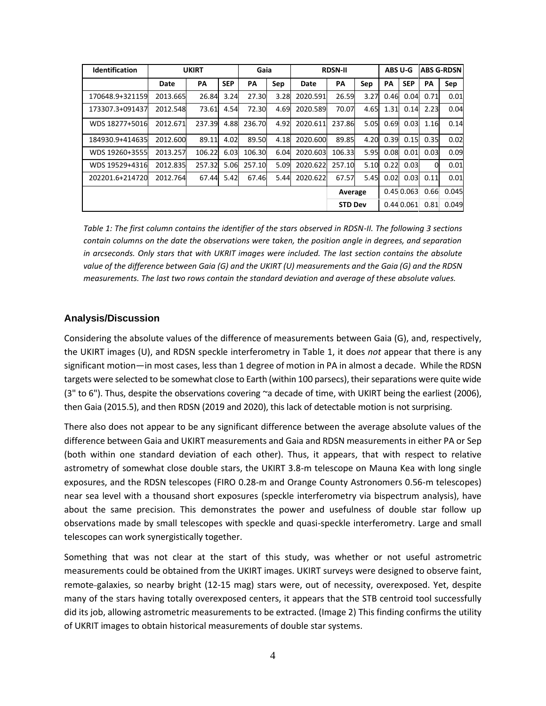| <b>Identification</b> | <b>UKIRT</b> |        |            | Gaia   |      | <b>RDSN-II</b> |        |                | ABS U-G |                 | <b>ABS G-RDSN</b> |       |
|-----------------------|--------------|--------|------------|--------|------|----------------|--------|----------------|---------|-----------------|-------------------|-------|
|                       | Date         | PA     | <b>SEP</b> | PA     | Sep  | Date           | PA     | Sep            | PA      | <b>SEP</b>      | PA                | Sep   |
| 170648.9+321159       | 2013.665     | 26.84  | 3.24       | 27.30  | 3.28 | 2020.591       | 26.59  | 3.27           | 0.46    | 0.04            | 0.71              | 0.01  |
| 173307.3+091437       | 2012.548     | 73.61  | 4.54       | 72.30  | 4.69 | 2020.589       | 70.07  | 4.65           | 1.31    | 0.14            | 2.23              | 0.04  |
| WDS 18277+5016        | 2012.671     | 237.39 | 4.88       | 236.70 | 4.92 | 2020.611       | 237.86 | 5.05           | 0.69    | 0.03            | 1.16              | 0.14  |
| 184930.9+414635       | 2012.600     | 89.11  | 4.02       | 89.50  | 4.18 | 2020.600       | 89.85  | 4.20           | 0.39    | 0.15            | 0.35              | 0.02  |
| WDS 19260+3555        | 2013.257     | 106.22 | 6.03       | 106.30 | 6.04 | 2020.603       | 106.33 | 5.95           | 0.08    | 0.01            | 0.03              | 0.09  |
| WDS 19529+4316        | 2012.835     | 257.32 | 5.06       | 257.10 | 5.09 | 2020.622       | 257.10 | 5.10           | 0.22    | 0.03            | $\Omega$          | 0.01  |
| 202201.6+214720       | 2012.764     | 67.44  | 5.42       | 67.46  | 5.44 | 2020.622       | 67.57  | 5.45           | 0.02    | 0.03            | 0.11              | 0.01  |
|                       |              |        |            |        |      |                |        | Average        |         | $0.45 \, 0.063$ | 0.66              | 0.045 |
|                       |              |        |            |        |      |                |        | <b>STD Dev</b> |         | 0.440.061       | 0.81              | 0.049 |

*Table 1: The first column contains the identifier of the stars observed in RDSN-II. The following 3 sections contain columns on the date the observations were taken, the position angle in degrees, and separation in arcseconds. Only stars that with UKRIT images were included. The last section contains the absolute value of the difference between Gaia (G) and the UKIRT (U) measurements and the Gaia (G) and the RDSN measurements. The last two rows contain the standard deviation and average of these absolute values.*

#### **Analysis/Discussion**

Considering the absolute values of the difference of measurements between Gaia (G), and, respectively, the UKIRT images (U), and RDSN speckle interferometry in Table 1, it does *not* appear that there is any significant motion—in most cases, less than 1 degree of motion in PA in almost a decade. While the RDSN targets were selected to be somewhat close to Earth (within 100 parsecs), their separations were quite wide (3" to 6"). Thus, despite the observations covering  $\sim$  a decade of time, with UKIRT being the earliest (2006), then Gaia (2015.5), and then RDSN (2019 and 2020), this lack of detectable motion is not surprising.

There also does not appear to be any significant difference between the average absolute values of the difference between Gaia and UKIRT measurements and Gaia and RDSN measurements in either PA or Sep (both within one standard deviation of each other). Thus, it appears, that with respect to relative astrometry of somewhat close double stars, the UKIRT 3.8-m telescope on Mauna Kea with long single exposures, and the RDSN telescopes (FIRO 0.28-m and Orange County Astronomers 0.56-m telescopes) near sea level with a thousand short exposures (speckle interferometry via bispectrum analysis), have about the same precision. This demonstrates the power and usefulness of double star follow up observations made by small telescopes with speckle and quasi-speckle interferometry. Large and small telescopes can work synergistically together.

Something that was not clear at the start of this study, was whether or not useful astrometric measurements could be obtained from the UKIRT images. UKIRT surveys were designed to observe faint, remote galaxies, so nearby bright (12-15 mag) stars were, out of necessity, overexposed. Yet, despite many of the stars having totally overexposed centers, it appears that the STB centroid tool successfully did its job, allowing astrometric measurements to be extracted. (Image 2) This finding confirms the utility of UKRIT images to obtain historical measurements of double star systems.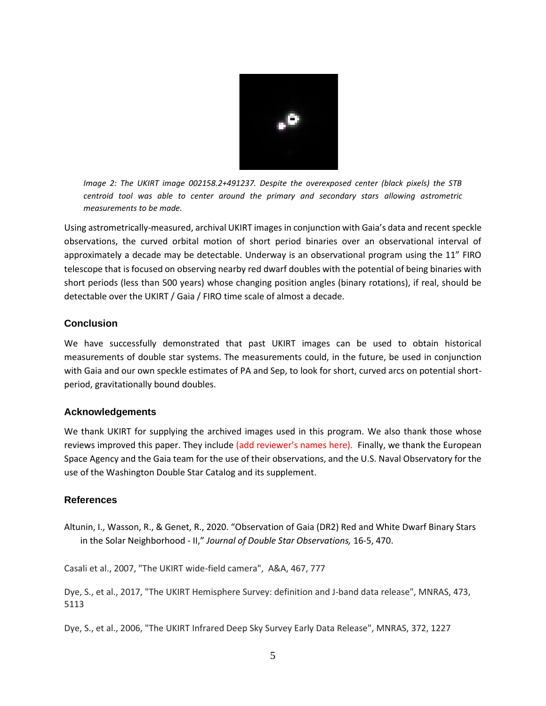

*Image 2: The UKIRT image 002158.2+491237. Despite the overexposed center (black pixels) the STB centroid tool was able to center around the primary and secondary stars allowing astrometric measurements to be made.*

Using astrometrically-measured, archival UKIRT images in conjunction with Gaia's data and recent speckle observations, the curved orbital motion of short period binaries over an observational interval of approximately a decade may be detectable. Underway is an observational program using the 11" FIRO telescope that is focused on observing nearby red dwarf doubles with the potential of being binaries with short periods (less than 500 years) whose changing position angles (binary rotations), if real, should be detectable over the UKIRT / Gaia / FIRO time scale of almost a decade.

#### **Conclusion**

We have successfully demonstrated that past UKIRT images can be used to obtain historical measurements of double star systems. The measurements could, in the future, be used in conjunction with Gaia and our own speckle estimates of PA and Sep, to look for short, curved arcs on potential shortperiod, gravitationally bound doubles.

#### **Acknowledgements**

We thank UKIRT for supplying the archived images used in this program. We also thank those whose reviews improved this paper. They include (add reviewer's names here). Finally, we thank the European Space Agency and the Gaia team for the use of their observations, and the U.S. Naval Observatory for the use of the Washington Double Star Catalog and its supplement.

#### **References**

Altunin, I., Wasson, R., & Genet, R., 2020. "Observation of Gaia (DR2) Red and White Dwarf Binary Stars in the Solar Neighborhood - II," *Journal of Double Star Observations,* 16-5, 470.

Casali et al., 2007, "The UKIRT wide-field camera", A&A, 467, 777

Dye, S., et al., 2017, "The UKIRT Hemisphere Survey: definition and J-band data release", MNRAS, 473, 5113

Dye, S., et al., 2006, "The UKIRT Infrared Deep Sky Survey Early Data Release", MNRAS, 372, 1227